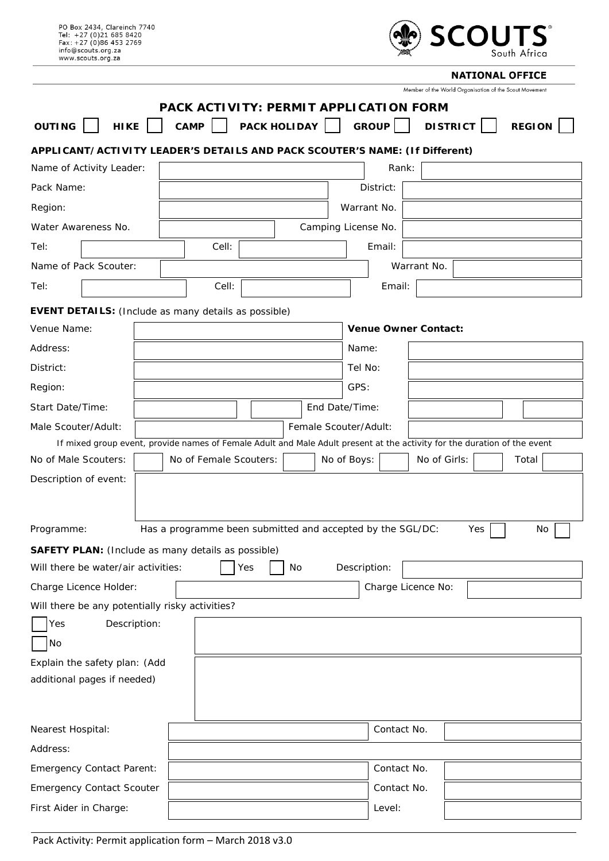| PO Box 2434, Clareinch 7740<br>Tel: +27 (0)21 685 8420<br>Fax: +27 (0)86 453 2769<br>info@scouts.org.za<br>www.scouts.org.za |                                                                                                                          |              |                             | <b>,SCOUTS。</b>                                        | South Africa  |
|------------------------------------------------------------------------------------------------------------------------------|--------------------------------------------------------------------------------------------------------------------------|--------------|-----------------------------|--------------------------------------------------------|---------------|
|                                                                                                                              |                                                                                                                          |              |                             | <b>NATIONAL OFFICE</b>                                 |               |
|                                                                                                                              |                                                                                                                          |              |                             | Member of the World Organisation of the Scout Movement |               |
|                                                                                                                              | PACK ACTIVITY: PERMIT APPLICATION FORM                                                                                   |              |                             |                                                        |               |
| <b>OUTING</b><br><b>HIKE</b>                                                                                                 | <b>CAMP</b>                                                                                                              | PACK HOLIDAY | <b>GROUP</b>                | <b>DISTRICT</b>                                        | <b>REGION</b> |
| APPLICANT/ACTIVITY LEADER'S DETAILS AND PACK SCOUTER'S NAME: (If Different)                                                  |                                                                                                                          |              |                             |                                                        |               |
| Name of Activity Leader:                                                                                                     |                                                                                                                          |              | Rank:                       |                                                        |               |
| Pack Name:                                                                                                                   |                                                                                                                          |              | District:                   |                                                        |               |
| Region:                                                                                                                      |                                                                                                                          |              | Warrant No.                 |                                                        |               |
| Water Awareness No.                                                                                                          |                                                                                                                          |              | Camping License No.         |                                                        |               |
| Tel:                                                                                                                         | Cell:                                                                                                                    |              | Email:                      |                                                        |               |
| Name of Pack Scouter:                                                                                                        |                                                                                                                          |              | Warrant No.                 |                                                        |               |
| Tel:                                                                                                                         | Cell:                                                                                                                    |              | Email:                      |                                                        |               |
|                                                                                                                              |                                                                                                                          |              |                             |                                                        |               |
| <b>EVENT DETAILS:</b> (Include as many details as possible)<br>Venue Name:                                                   |                                                                                                                          |              | <b>Venue Owner Contact:</b> |                                                        |               |
| Address:                                                                                                                     |                                                                                                                          |              | Name:                       |                                                        |               |
| District:                                                                                                                    |                                                                                                                          |              | Tel No:                     |                                                        |               |
|                                                                                                                              |                                                                                                                          |              |                             |                                                        |               |
| Region:                                                                                                                      |                                                                                                                          |              | GPS:                        |                                                        |               |
| Start Date/Time:                                                                                                             |                                                                                                                          |              | End Date/Time:              |                                                        |               |
| Male Scouter/Adult:                                                                                                          | If mixed group event, provide names of Female Adult and Male Adult present at the activity for the duration of the event |              | Female Scouter/Adult:       |                                                        |               |
| No of Male Scouters:                                                                                                         | No of Female Scouters:                                                                                                   |              | No of Boys:                 | No of Girls:                                           | Total         |
| Description of event:                                                                                                        |                                                                                                                          |              |                             |                                                        |               |
|                                                                                                                              |                                                                                                                          |              |                             |                                                        |               |
|                                                                                                                              |                                                                                                                          |              |                             |                                                        |               |
| Programme:                                                                                                                   | Has a programme been submitted and accepted by the SGL/DC:                                                               |              |                             | Yes                                                    | No            |
| <b>SAFETY PLAN:</b> (Include as many details as possible)                                                                    |                                                                                                                          |              |                             |                                                        |               |
| Will there be water/air activities:                                                                                          | Yes                                                                                                                      | No           | Description:                |                                                        |               |
| Charge Licence Holder:                                                                                                       |                                                                                                                          |              | Charge Licence No:          |                                                        |               |
| Will there be any potentially risky activities?                                                                              |                                                                                                                          |              |                             |                                                        |               |
| Description:<br>Yes                                                                                                          |                                                                                                                          |              |                             |                                                        |               |
| No                                                                                                                           |                                                                                                                          |              |                             |                                                        |               |
| Explain the safety plan: (Add                                                                                                |                                                                                                                          |              |                             |                                                        |               |
| additional pages if needed)                                                                                                  |                                                                                                                          |              |                             |                                                        |               |
|                                                                                                                              |                                                                                                                          |              |                             |                                                        |               |
|                                                                                                                              |                                                                                                                          |              | Contact No.                 |                                                        |               |
| Nearest Hospital:                                                                                                            |                                                                                                                          |              |                             |                                                        |               |
| Address:                                                                                                                     |                                                                                                                          |              |                             |                                                        |               |
| <b>Emergency Contact Parent:</b>                                                                                             |                                                                                                                          |              | Contact No.                 |                                                        |               |
| <b>Emergency Contact Scouter</b>                                                                                             |                                                                                                                          |              | Contact No.                 |                                                        |               |
| First Aider in Charge:                                                                                                       |                                                                                                                          |              | Level:                      |                                                        |               |

Pack Activity: Permit application form – March 2018 v3.0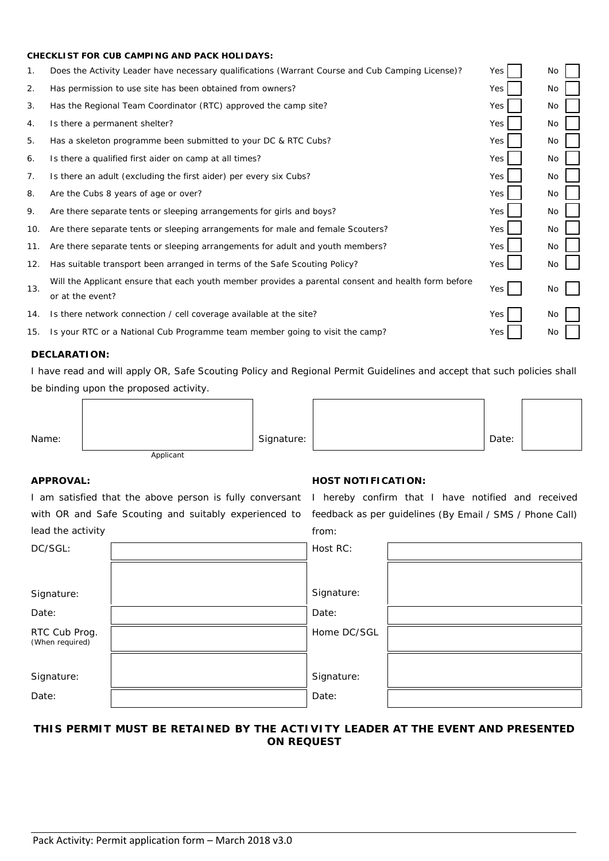#### **CHECKLIST FOR CUB CAMPING AND PACK HOLIDAYS:**

| 1.  | Does the Activity Leader have necessary qualifications (Warrant Course and Cub Camping License)?                        | Yes | No. |
|-----|-------------------------------------------------------------------------------------------------------------------------|-----|-----|
| 2.  | Has permission to use site has been obtained from owners?                                                               | Yes | No  |
| 3.  | Has the Regional Team Coordinator (RTC) approved the camp site?                                                         | Yes | No  |
| 4.  | Is there a permanent shelter?                                                                                           | Yes | No  |
| 5.  | Has a skeleton programme been submitted to your DC & RTC Cubs?                                                          | Yes | No  |
| 6.  | Is there a qualified first aider on camp at all times?                                                                  | Yes | No  |
| 7.  | Is there an adult (excluding the first aider) per every six Cubs?                                                       | Yes | No  |
| 8.  | Are the Cubs 8 years of age or over?                                                                                    | Yes | No  |
| 9.  | Are there separate tents or sleeping arrangements for girls and boys?                                                   | Yes | No  |
| 10. | Are there separate tents or sleeping arrangements for male and female Scouters?                                         | Yes | No  |
| 11. | Are there separate tents or sleeping arrangements for adult and youth members?                                          | Yes | No  |
| 12. | Has suitable transport been arranged in terms of the Safe Scouting Policy?                                              | Yes | No  |
| 13. | Will the Applicant ensure that each youth member provides a parental consent and health form before<br>or at the event? | Yes | No  |
| 14. | Is there network connection / cell coverage available at the site?                                                      | Yes | No  |
| 15. | Is your RTC or a National Cub Programme team member going to visit the camp?                                            | Yes | No  |

## **DECLARATION:**

I have read and will apply OR, Safe Scouting Policy and Regional Permit Guidelines and accept that such policies shall be binding upon the proposed activity.

| Name: |           | Signature: | Date: |  |
|-------|-----------|------------|-------|--|
|       | Applicant |            |       |  |

I am satisfied that the above person is fully conversant I hereby confirm that I have notified and received with OR and Safe Scouting and suitably experienced to feedback as per guidelines (By Email / SMS / Phone Call) lead the activity

## **APPROVAL: HOST NOTIFICATION:**

from:

| DC/SGL:                          | Host RC:    |  |
|----------------------------------|-------------|--|
|                                  |             |  |
| Signature:                       | Signature:  |  |
| Date:                            | Date:       |  |
| RTC Cub Prog.<br>(When required) | Home DC/SGL |  |
|                                  |             |  |
| Signature:                       | Signature:  |  |
| Date:                            | Date:       |  |
|                                  |             |  |

# **THIS PERMIT MUST BE RETAINED BY THE ACTIVITY LEADER AT THE EVENT AND PRESENTED ON REQUEST**